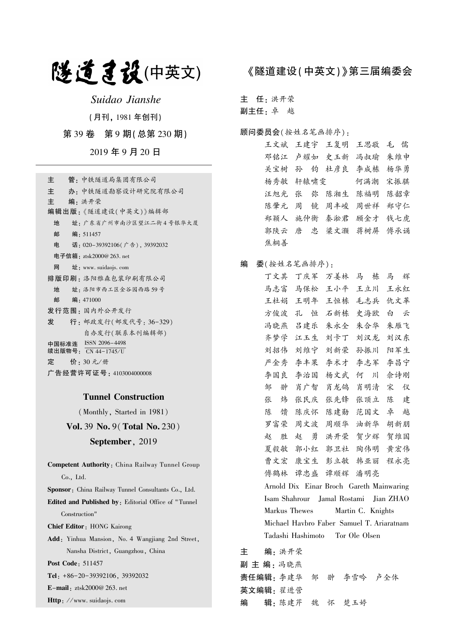# 隧道建设(中英文)

Suidao Jianshe

(月刊, 1981 年创刊)

第 39 卷 第 9 期(总第 230 期)

2019 年 9 月 20 日

| 管 - 中铁隧道局集团有限公司<br>≑                        |
|---------------------------------------------|
| 主<br>办 · 中铁隧道勘察设计研究院有限公司                    |
| 主<br>编•洪开荣                                  |
| 编辑出版:《隧道建设(中英文)》编辑部                         |
| 址: 广东省广州市南沙区望江二街4号银华大厦<br>地                 |
| 邮 编: 511457                                 |
| 电<br>话: 020-39392106(广告), 39392032          |
| 电子信箱:ztsk2000@ 263. net                     |
| 网<br>$\mathbf{\pm}$ : www. suidaojs. com    |
| 排版印刷 · 洛阳雅森包装印刷有限公司                         |
| 地<br>址 · 洛阳市西工区金谷园西路 59号                    |
| 邮<br>编:471000                               |
| 发行范围 · 国内外公开发行                              |
| 行: 邮政发行(邮发代号: 36-329)<br>发                  |
| 自办发行(联系本刊编辑部)                               |
| 中国标准连 ISSN 2096-4498<br>续出版物号: CN 44-1745/U |
| 定<br>价: 30 元/册                              |
| 广告经营许可证号 : 4103004000008                    |

#### Tunnel Construction

(Monthly, Started in 1981)

Vol. 39 No. 9(Total No. 230)

#### September, 2019

Competent Authority: China Railway Tunnel Group Co., Ltd. Sponsor: China Railway Tunnel Consultants Co., Ltd. Edited and Published by: Editorial Office of " Tunnel Construction" Chief Editor: HONG Kairong Add: Yinhua Mansion, No. 4 Wangjiang 2nd Street, Nansha District, Guangzhou, China Post Code: 511457 Tel: +86-20-39392106, 39392032 E-mail: ztsk2000@ 263. net Http: //www. suidaojs. com

## 《隧道建设(中英文)》第三届编委会

主 任: 洪开荣

副主任: 卓 越

#### 顾问委员会(按姓名笔画排序):

王文斌 王建宇 王复明 王思敬 毛 儒 邓铭江 卢耀如 史玉新 冯叔瑜 朱维申 关宝树 孙 钧 杜彦良 李成栋 杨华勇 杨秀敏 轩辕啸雯 何满潮 宋振骐 汪旭光 张 弥 陈湘生 陈福明 陈韶章 陈肇元 周 镜 周丰峻 周世祥 郑守仁 郑颖人 施仲衡 秦淞君 顾金才 钱七虎 郭陕云 唐 忠 梁文灏 蒋树屏 傅承诵 焦桐善

#### 编 委(按姓名笔画排序):

丁文其 丁庆军 万姜林 马 栋 马 辉 马志富 马保松 王小平 王立川 王永红 王杜娟 王明年 王恒栋 毛志兵 仇文革 方俊波 孔 恒 石新栋 史海欧 白 云 冯晓燕 吕建乐 朱永全 朱合华 朱雁飞 齐梦学 江玉生 刘卡丁 刘汉龙 刘汉东 刘招伟 刘维宁 刘新荣 孙振川 阳军生 严金秀 李丰果 李术才 李志军 李昌宁 李国良 李治国 杨文武 何 川 佘诗刚 邹 翀 肖广智 肖龙鸽 肖明清 宋 仪 张 炜 张民庆 张先锋 张顶立 陈 建 陈 馈 陈庆怀 陈建勋 范国文 卓 越 罗富荣 周文波 周顺华 油新华 胡新朋 赵 胜 赵 勇 洪开荣 贺少辉 贺维国 夏毅敏 郭小红 郭卫社 陶伟明 黄宏伟 曹文宏 康宝生 彭立敏 韩亚丽 程永亮 傅鹤林 谭忠盛 谭顺辉 潘明亮 Arnold Dix Einar Broch Gareth Mainwaring Isam Shahrour Jamal Rostami Jian ZHAO Markus Thewes Martin C. Knights Michael Havbro Faber Samuel T. Ariaratnam Tadashi Hashimoto Tor Ole Olsen

主 编: 洪开荣 副 主 编: 冯晓燕 责任编辑: 李建华 邹 翀 李雪吟 卢全体 英文编辑: 翟进营 编 辑: 陈建芹 魏 怀 楚玉婷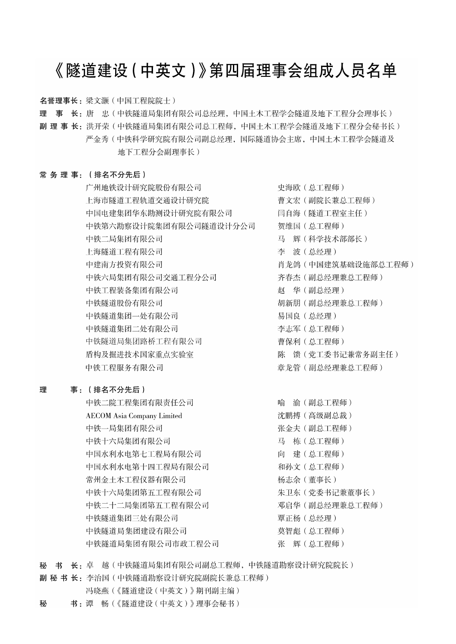## 《隧道建设 (中英文)》第四届理事会组成人员名单

名誉理事长: 梁文灏 (中国工程院院士)

理 事 长: 唐 忠(中铁隧道局集团有限公司总经理, 中国土木工程学会隧道及地下工程分会理事长)

副 理 事 长:洪开荣(中铁隧道局集团有限公司总工程师,中国土木工程学会隧道及地下工程分会秘书长) 严金秀 ( 中铁科学研究院有限公司副总经理, 国际隧道协会主席, 中国土木工程学会隧道及 地下工程分会副理事长)

#### 常务理事: (排名不分先后)

广州地铁设计研究院股份有限公司 上海市隧道工程轨道交通设计研究院 中国电建集团华东勘测设计研究院有限公司 中铁第六勘察设计院集团有限公司隧道设计分公司 中铁二局集团有限公司 上海隧道工程有限公司 中建南方投资有限公司 中铁六局集团有限公司交通工程分公司 中铁工程装备集团有限公司 中铁隧道股份有限公司 中铁隧道集团一处有限公司 中铁隧道集团二处有限公司 中铁隧道局集团路桥工程有限公司 盾构及掘进技术国家重点实验室 中铁工程服务有限公司

#### 理 事: (排名不分先后)

中铁二院工程集团有限责任公司 **AECOM** Asia Company Limited 中铁一局集团有限公司 中铁十六局集团有限公司 中国水利水电第七工程局有限公司 中国水利水电第十四工程局有限公司 常州金土木工程仪器有限公司 中铁十六局集团第五工程有限公司 中铁二十二局集团第五工程有限公司 中铁隧道集团三处有限公司 中铁隧道局集团建设有限公司 中铁隧道局集团有限公司市政工程公司

史海欧 (总工程师) 曹文宏(副院长兼总工程师) 闫自海(隧道工程室主任) 贺维国 (总工程师) 马 辉(科学技术部部长) 李 波(总经理) 肖龙鸽 (中国建筑基础设施部总工程师) 齐春杰 (副总经理兼总工程师) 赵 华(副总经理) 胡新朋 (副总经理兼总工程师) 易国良 (总经理) 李志军 (总工程师) 曹保利 (总工程师) 陈 馈(党工委书记兼常务副主任) 章龙管(副总经理兼总工程师)

喻 渝(副总工程师) 沈鹏搏(高级副总裁) 张金夫 (副总工程师) 马 栋 (总工程师) 向 建(总工程师) 和孙文 (总工程师) 杨志余(董事长) 朱卫东 (党委书记兼董事长) 邓启华 (副总经理兼总工程师) 覃正杨 (总经理) 莫智彪 (总工程师) 张 辉(总工程师)

秘 书 长: 卓 越(中铁隧道局集团有限公司副总工程师,中铁隧道勘察设计研究院院长)

副 秘 书 长: 李治国 (中铁隧道勘察设计研究院副院长兼总工程师)

- 冯晓燕(《隧道建设(中英文)》期刊副主编)
- 书:谭 畅(《隧道建设(中英文)》理事会秘书) 秘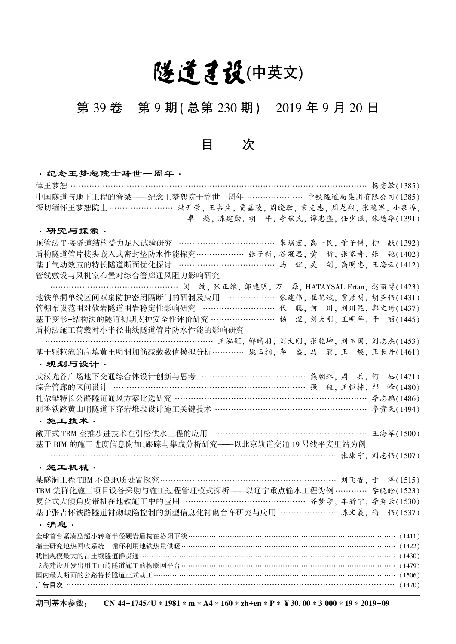# 隧道建设(中英文)

## 第 39 卷 第 9 期(总第 230 期) 2019 年 9 月 20 日

目 次

### ·纪念王梦恕院士辞世一周年· 悼王梦恕 ………………………………………………………………………………………………… 杨秀敏(1385) 中国隧道与地下工程的脊梁———纪念王梦恕院士辞世一周年 ………………… 中铁隧道局集团有限公司(1385) 深切缅怀王梦恕院士 ……………………… 洪开荣, 王占生, 贾嘉陵, 周晓敏, 宋克志, 周龙翔, 张稳军, 小泉淳, 卓 越, 陈建勋, 胡 平, 李献民, 谭忠盛, 任少强, 张德华(1391) ·研究与探索· 顶管法 T 接隧道结构受力足尺试验研究 ……………………………… 朱瑶宏, 高一民, 董子博, 柳 献(1392) 盾构隧道管片接头嵌入式密封垫防水性能探究……………… 张子新, 谷冠思, 黄 昕, 张家奇, 张 弛(1402) 基于气动效应的特长隧道断面优化探讨 ……………………………… 马 辉, 吴 剑, 高明忠, 王海云(1412) 管线敷设与风机室布置对综合管廊通风阻力影响研究 ………………………………………… 闵 绚, 张正维, 邹建明, 万 磊, HATAYSAL Ertan, 赵丽博(1423) 地铁单洞单线区间双扇防护密闭隔断门的研制及应用 ……………… 张建伟, 崔艳斌, 贾彦明, 胡圣伟(1431) 管棚布设范围对软岩隧道围岩稳定性影响研究 ……………………… 代 聪, 何 川, 刘川昆, 郭文琦(1437) 基于变形-结构法的隧道初期支护安全性评价研究 …………………… 杨 涅, 刘大刚, 王明年, 于 丽(1445) 盾构法施工荷载对小半径曲线隧道管片防水性能的影响研究 ……………………………………………………… 王泓颖, 鲜晴羽, 刘大刚, 张乾坤, 刘玉国, 刘志杰(1453) 基于颗粒流的高填黄土明洞加筋减载数值模拟分析………… 姚玉相, 李 盛, 马 莉, 王 焕, 王长丹(1461) ·规划与设计· 武汉光谷广场地下交通综合体设计创新与思考 ……………………………………… 熊朝辉, 周 兵, 何 丛(1471) 综合管廊的区间设计 ……………………………………………………………………… 强 健, 王恒栋, 祁 峰(1480) 扎尕梁特长公路隧道通风方案比选研究 ……………………………………………………………… 李志鹏(1486) 丽香铁路黄山哨隧道下穿岩堆段设计施工关键技术 ………………………………………………… 李贵民(1494) ·施工技术· 敞开式 TBM 空推步进技术在引松供水工程的应用 ………………………………………………… 王海军(1500) 基于 BIM 的施工进度信息附加、跟踪与集成分析研究———以北京轨道交通 19 号线平安里站为例 ……………………………………………………………………………………………… 张康宁, 刘志伟(1507) ·施工机械· 某隧洞工程 TBM 不良地质处置探究………………………………………………………… 刘飞香, 于 洋(1515) TBM 集群化施工项目设备采购与施工过程管理模式探析———以辽宁重点输水工程为例 ………… 李晓晗(1523) 复合式大倾角皮带机在地铁施工中的应用 ……………………………………… 齐梦学, 车新宁, 李秀云(1530) 基于张吉怀铁路隧道衬砌缺陷控制的新型信息化衬砌台车研究与应用 ………………… 陈文義, 尚 伟(1537) ·消息· 全球首台紧凑型超小转弯半径硬岩盾构在洛阳下线……………………………………………………………………………… (1411) 瑞士研究地热回收系统 循环利用地铁热量供暖………………………………………………………………………………… (1422) 我国规模最大的古土壤隧道群贯通 …………………………………………………………………………………………… (1430) 飞岛建设开发出用于山岭隧道施工的物联网平台………………………………………………………………………………… (1479) 国内最大断面的公路特长隧道正式动工…………………………………………………………………………………………… (1506) 广告目次 …………………………………………………………………………………………………………… (1470)

期刊基本参数: CN 44-1745/U∗1981∗m∗A4∗160∗zh+en∗P∗¥30.00∗3 000∗19∗2019-09